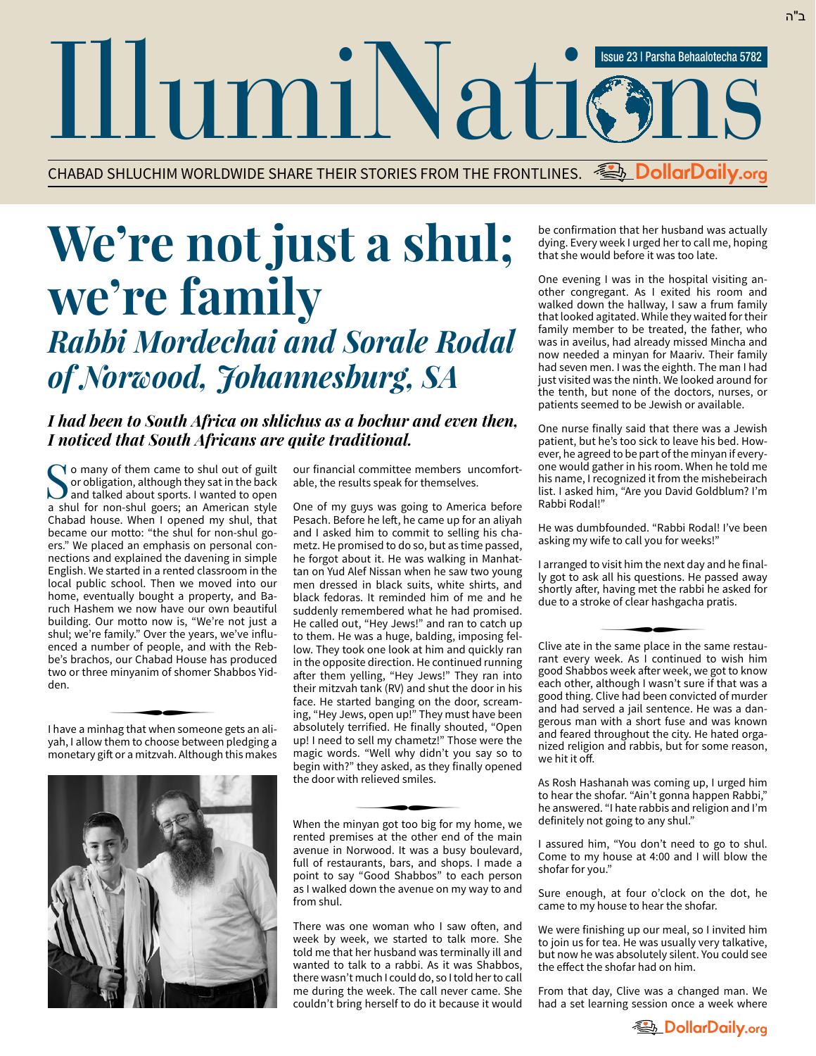IllumiNation Issue 23 | Parsha Behaalotecha 5782

CHABAD SHLUCHIM WORLDWIDE SHARE THEIR STORIES FROM THE FRONTLINES. **Example DollarDaily.org** 

## **We're not just a shul; we're family**

## *Rabbi Mordechai and Sorale Rodal of Norwood, Johannesburg, SA*

## *I had been to South Africa on shlichus as a bochur and even then, I noticed that South Africans are quite traditional.*

Yo many of them came to shul out of guilt or obligation, although they sat in the back **J** and talked about sports. I wanted to open a shul for non-shul goers; an American style Chabad house. When I opened my shul, that became our motto: "the shul for non-shul goers." We placed an emphasis on personal connections and explained the davening in simple English. We started in a rented classroom in the local public school. Then we moved into our home, eventually bought a property, and Baruch Hashem we now have our own beautiful building. Our motto now is, "We're not just a shul; we're family." Over the years, we've influenced a number of people, and with the Rebbe's brachos, our Chabad House has produced two or three minyanim of shomer Shabbos Yidden. ∑

I have a minhag that when someone gets an ali yah, I allow them to choose between pledging a monetary gift or a mitzvah. Although this makes



our financial committee members uncomfortable, the results speak for themselves.

One of my guys was going to America before Pesach. Before he left, he came up for an aliyah and I asked him to commit to selling his chametz. He promised to do so, but as time passed, he forgot about it. He was walking in Manhattan on Yud Alef Nissan when he saw two young men dressed in black suits, white shirts, and black fedoras. It reminded him of me and he suddenly remembered what he had promised. He called out, "Hey Jews!" and ran to catch up to them. He was a huge, balding, imposing fellow. They took one look at him and quickly ran in the opposite direction. He continued running after them yelling, "Hey Jews!" They ran into their mitzvah tank (RV) and shut the door in his face. He started banging on the door, screaming, "Hey Jews, open up!" They must have been absolutely terrified. He finally shouted, "Open up! I need to sell my chametz!" Those were the magic words. "Well why didn't you say so to begin with?" they asked, as they finally opened the door with relieved smiles.<br>←

When the minyan got too big for my home, we rented premises at the other end of the main avenue in Norwood. It was a busy boulevard, full of restaurants, bars, and shops. I made a point to say "Good Shabbos" to each person as I walked down the avenue on my way to and from shul.

There was one woman who I saw often, and week by week, we started to talk more. She told me that her husband was terminally ill and wanted to talk to a rabbi. As it was Shabbos, there wasn't much I could do, so I told her to call me during the week. The call never came. She couldn't bring herself to do it because it would be confirmation that her husband was actually dying. Every week I urged her to call me, hoping that she would before it was too late.

One evening I was in the hospital visiting another congregant. As I exited his room and walked down the hallway, I saw a frum family that looked agitated. While they waited for their family member to be treated, the father, who was in aveilus, had already missed Mincha and now needed a minyan for Maariv. Their family had seven men. I was the eighth. The man I had just visited was the ninth. We looked around for the tenth, but none of the doctors, nurses, or patients seemed to be Jewish or available.

One nurse finally said that there was a Jewish patient, but he's too sick to leave his bed. However, he agreed to be part of the minyan if everyone would gather in his room. When he told me his name, I recognized it from the mishebeirach list. I asked him, "Are you David Goldblum? I'm Rabbi Rodal!"

He was dumbfounded. "Rabbi Rodal! I've been asking my wife to call you for weeks!"

I arranged to visit him the next day and he finally got to ask all his questions. He passed away shortly after, having met the rabbi he asked for due to a stroke of clear hashgacha pratis. ∑

Clive ate in the same place in the same restau rant every week. As I continued to wish him good Shabbos week after week, we got to know each other, although I wasn't sure if that was a good thing. Clive had been convicted of murder and had served a jail sentence. He was a dangerous man with a short fuse and was known and feared throughout the city. He hated organized religion and rabbis, but for some reason, we hit it off.

As Rosh Hashanah was coming up, I urged him to hear the shofar. "Ain't gonna happen Rabbi," he answered. "I hate rabbis and religion and I'm definitely not going to any shul."

I assured him, "You don't need to go to shul. Come to my house at 4:00 and I will blow the shofar for you."

Sure enough, at four o'clock on the dot, he came to my house to hear the shofar.

We were finishing up our meal, so I invited him to join us for tea. He was usually very talkative, but now he was absolutely silent. You could see the effect the shofar had on him.

From that day, Clive was a changed man. We had a set learning session once a week where